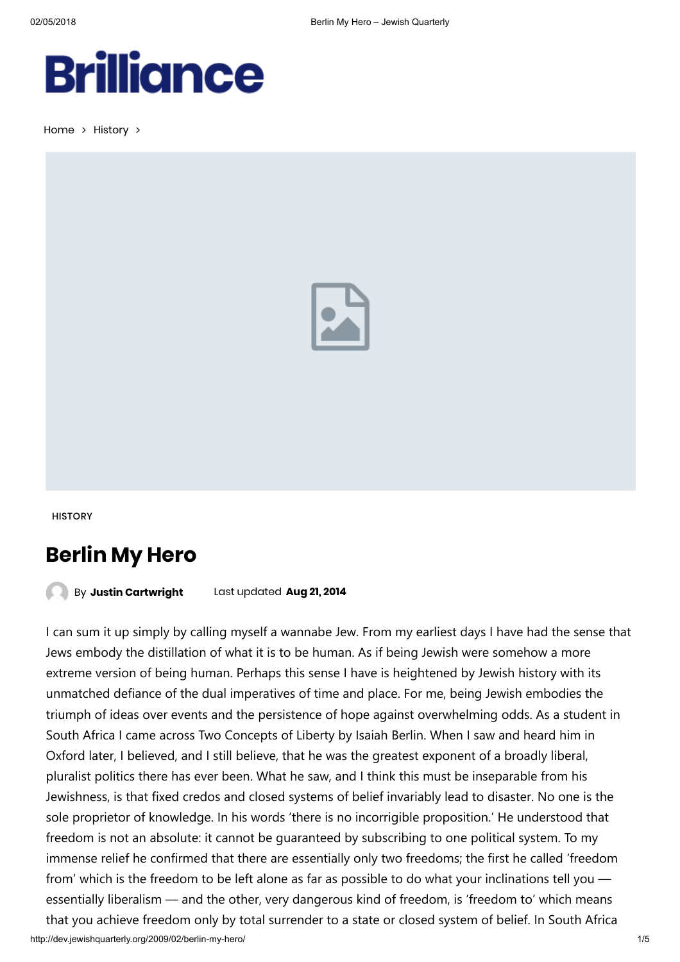## Berlin My Hero

By Justin [Cartwright](http://dev.jewishquarterly.org/author/justin-cartwright/) Last updated Aug 21, 2014

I can sum it up simply by calling myself a wannabe Jew. From my earliest days I have had the sense that Jews embody the distillation of what it is to be human. As if being Jewish were somehow a more extreme version of being human. Perhaps this sense I have is heightened by Jewish history with its unmatched defiance of the dual imperatives of time and place. For me, being Jewish embodies the triumph of ideas over events and the persistence of hope against overwhelming odds. As a student in South Africa I came across Two Concepts of Liberty by Isaiah Berlin. When I saw and heard him in Oxford later, I believed, and I still believe, that he was the greatest exponent of a broadly liberal, pluralist politics there has ever been. What he saw, and I think this must be inseparable from his Jewishness, is that fixed credos and closed systems of belief invariably lead to disaster. No one is the sole proprietor of knowledge. In his words 'there is no incorrigible proposition.' He understood that freedom is not an absolute: it cannot be guaranteed by subscribing to one political system. To my immense relief he confirmed that there are essentially only two freedoms; the first he called 'freedom from' which is the freedom to be left alone as far as possible to do what your inclinations tell you essentially liberalism — and the other, very dangerous kind of freedom, is 'freedom to' which means that you achieve freedom only by total surrender to a state or closed system of belief. In South Africa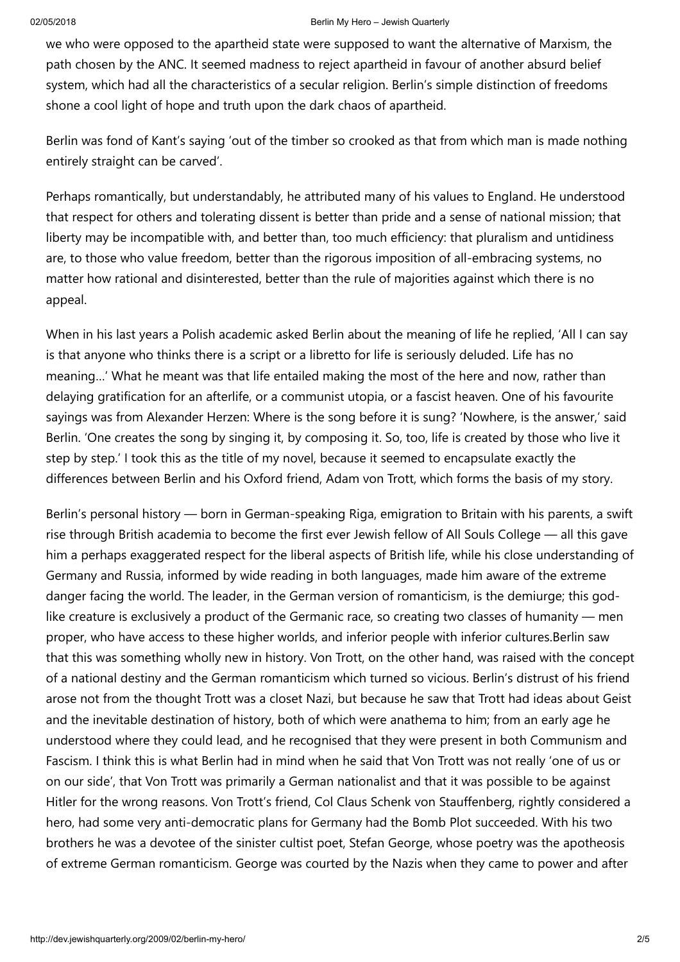we who were opposed to the apartheid state were supposed to want the alternative of Marxism, the path chosen by the ANC. It seemed madness to reject apartheid in favour of another absurd belief system, which had all the characteristics of a secular religion. Berlin's simple distinction of freedoms shone a cool light of hope and truth upon the dark chaos of apartheid.

Berlin was fond of Kant's saying 'out of the timber so crooked as that from which man is made nothing entirely straight can be carved'.

Perhaps romantically, but understandably, he attributed many of his values to England. He understood that respect for others and tolerating dissent is better than pride and a sense of national mission; that liberty may be incompatible with, and better than, too much efficiency: that pluralism and untidiness are, to those who value freedom, better than the rigorous imposition of all-embracing systems, no matter how rational and disinterested, better than the rule of majorities against which there is no appeal.

When in his last years a Polish academic asked Berlin about the meaning of life he replied, 'All I can say is that anyone who thinks there is a script or a libretto for life is seriously deluded. Life has no meaning…' What he meant was that life entailed making the most of the here and now, rather than delaying gratification for an afterlife, or a communist utopia, or a fascist heaven. One of his favourite sayings was from Alexander Herzen: Where is the song before it is sung? 'Nowhere, is the answer,' said Berlin. 'One creates the song by singing it, by composing it. So, too, life is created by those who live it step by step.' I took this as the title of my novel, because it seemed to encapsulate exactly the differences between Berlin and his Oxford friend, Adam von Trott, which forms the basis of my story.

Berlin's personal history — born in German-speaking Riga, emigration to Britain with his parents, a swift rise through British academia to become the first ever Jewish fellow of All Souls College — all this gave him a perhaps exaggerated respect for the liberal aspects of British life, while his close understanding of Germany and Russia, informed by wide reading in both languages, made him aware of the extreme danger facing the world. The leader, in the German version of romanticism, is the demiurge; this godlike creature is exclusively a product of the Germanic race, so creating two classes of humanity — men proper, who have access to these higher worlds, and inferior people with inferior cultures.Berlin saw that this was something wholly new in history. Von Trott, on the other hand, was raised with the concept of a national destiny and the German romanticism which turned so vicious. Berlin's distrust of his friend arose not from the thought Trott was a closet Nazi, but because he saw that Trott had ideas about Geist and the inevitable destination of history, both of which were anathema to him; from an early age he understood where they could lead, and he recognised that they were present in both Communism and Fascism. I think this is what Berlin had in mind when he said that Von Trott was not really 'one of us or on our side', that Von Trott was primarily a German nationalist and that it was possible to be against Hitler for the wrong reasons. Von Trott's friend, Col Claus Schenk von Stauffenberg, rightly considered a hero, had some very anti-democratic plans for Germany had the Bomb Plot succeeded. With his two brothers he was a devotee of the sinister cultist poet, Stefan George, whose poetry was the apotheosis of extreme German romanticism. George was courted by the Nazis when they came to power and after